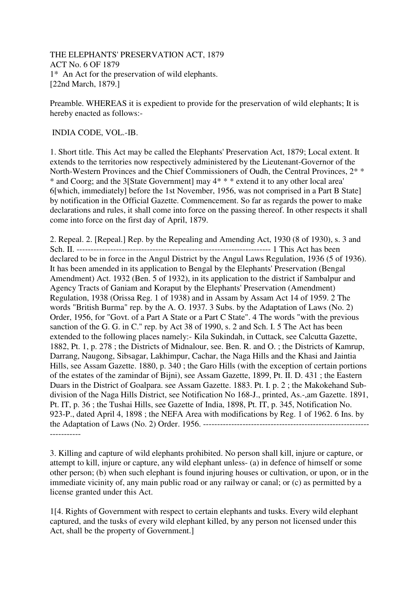THE ELEPHANTS' PRESERVATION ACT, 1879 ACT No. 6 OF 1879 1\* An Act for the preservation of wild elephants. [22nd March, 1879.]

Preamble. WHEREAS it is expedient to provide for the preservation of wild elephants; It is hereby enacted as follows:-

## INDIA CODE, VOL.-IB.

1. Short title. This Act may be called the Elephants' Preservation Act, 1879; Local extent. It extends to the territories now respectively administered by the Lieutenant-Governor of the North-Western Provinces and the Chief Commissioners of Oudh, the Central Provinces, 2\* \* \* and Coorg; and the 3[State Government] may 4\* \* \* extend it to any other local area' 6[which, immediately] before the 1st November, 1956, was not comprised in a Part B State] by notification in the Official Gazette. Commencement. So far as regards the power to make declarations and rules, it shall come into force on the passing thereof. In other respects it shall come into force on the first day of April, 1879.

2. Repeal. 2. [Repeal.] Rep. by the Repealing and Amending Act, 1930 (8 of 1930), s. 3 and Sch. II. --------------------------------------------------------------------- 1 This Act has been declared to be in force in the Angul District by the Angul Laws Regulation, 1936 (5 of 1936). It has been amended in its application to Bengal by the Elephants' Preservation (Bengal Amendment) Act. 1932 (Ben. 5 of 1932), in its application to the district if Sambalpur and Agency Tracts of Ganiam and Koraput by the Elephants' Preservation (Amendment) Regulation, 1938 (Orissa Reg. 1 of 1938) and in Assam by Assam Act 14 of 1959. 2 The words "British Burma" rep. by the A. O. 1937. 3 Subs. by the Adaptation of Laws (No. 2) Order, 1956, for "Govt. of a Part A State or a Part C State". 4 The words "with the previous sanction of the G. G. in C." rep. by Act 38 of 1990, s. 2 and Sch. I. 5 The Act has been extended to the following places namely:- Kila Sukindah, in Cuttack, see Calcutta Gazette, 1882, Pt. 1, p. 278 ; the Districts of Midnalour, see. Ben. R. and O. ; the Districts of Kamrup, Darrang, Naugong, Sibsagar, Lakhimpur, Cachar, the Naga Hills and the Khasi and Jaintia Hills, see Assam Gazette. 1880, p. 340 ; the Garo Hills (with the exception of certain portions of the estates of the zamindar of Bijni), see Assam Gazette, 1899, Pt. II. D. 431 ; the Eastern Duars in the District of Goalpara. see Assam Gazette. 1883. Pt. I. p. 2 ; the Makokehand Subdivision of the Naga Hills District, see Notification No 168-J., printed, As.-,am Gazette. 1891, Pt. IT, p. 36 ; the Tushai Hills, see Gazette of India, 1898, Pt. IT, p. 345, Notification No. 923-P., dated April 4, 1898 ; the NEFA Area with modifications by Reg. 1 of 1962. 6 Ins. by the Adaptation of Laws (No. 2) Order. 1956. ----------------------------------------------------------- -----------

3. Killing and capture of wild elephants prohibited. No person shall kill, injure or capture, or attempt to kill, injure or capture, any wild elephant unless- (a) in defence of himself or some other person; (b) when such elephant is found injuring houses or cultivation, or upon, or in the immediate vicinity of, any main public road or any railway or canal; or (c) as permitted by a license granted under this Act.

1[4. Rights of Government with respect to certain elephants and tusks. Every wild elephant captured, and the tusks of every wild elephant killed, by any person not licensed under this Act, shall be the property of Government.]